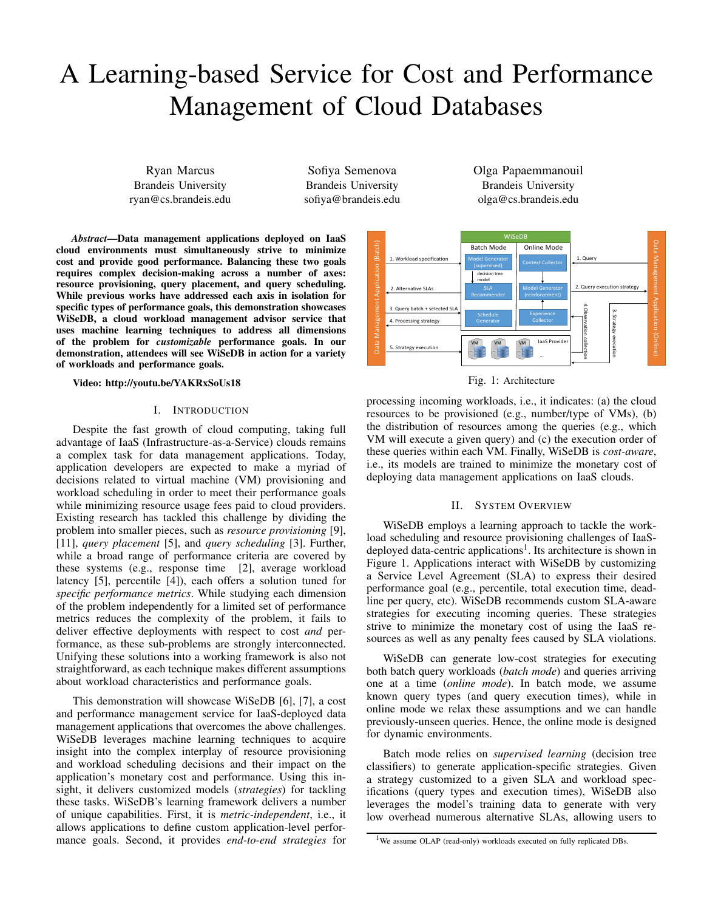# A Learning-based Service for Cost and Performance Management of Cloud Databases

Ryan Marcus Brandeis University ryan@cs.brandeis.edu

Sofiya Semenova Brandeis University sofiya@brandeis.edu

*Abstract*—Data management applications deployed on IaaS cloud environments must simultaneously strive to minimize cost and provide good performance. Balancing these two goals requires complex decision-making across a number of axes: resource provisioning, query placement, and query scheduling. While previous works have addressed each axis in isolation for specific types of performance goals, this demonstration showcases WiSeDB, a cloud workload management advisor service that uses machine learning techniques to address all dimensions of the problem for *customizable* performance goals. In our demonstration, attendees will see WiSeDB in action for a variety of workloads and performance goals.

Video: http://youtu.be/YAKRxSoUs18

### I. INTRODUCTION

Despite the fast growth of cloud computing, taking full advantage of IaaS (Infrastructure-as-a-Service) clouds remains a complex task for data management applications. Today, application developers are expected to make a myriad of decisions related to virtual machine (VM) provisioning and workload scheduling in order to meet their performance goals while minimizing resource usage fees paid to cloud providers. Existing research has tackled this challenge by dividing the problem into smaller pieces, such as *resource provisioning* [9], [11], *query placement* [5], and *query scheduling* [3]. Further, while a broad range of performance criteria are covered by these systems (e.g., response time [2], average workload latency [5], percentile [4]), each offers a solution tuned for *specific performance metrics*. While studying each dimension of the problem independently for a limited set of performance metrics reduces the complexity of the problem, it fails to deliver effective deployments with respect to cost *and* performance, as these sub-problems are strongly interconnected. Unifying these solutions into a working framework is also not straightforward, as each technique makes different assumptions about workload characteristics and performance goals. cload environments must simultaneously strive to minimize the constrained costs and a provide good performance. Balancing drive to end-to-end-to-end-to-end-to-end-to-end-to-end-to-end-to-end-to-end-to-end-to-end-to-end-to-

This demonstration will showcase WiSeDB [6], [7], a cost and performance management service for IaaS-deployed data management applications that overcomes the above challenges. WiSeDB leverages machine learning techniques to acquire insight into the complex interplay of resource provisioning and workload scheduling decisions and their impact on the application's monetary cost and performance. Using this insight, it delivers customized models (*strategies*) for tackling these tasks. WiSeDB's learning framework delivers a number of unique capabilities. First, it is *metric-independent*, i.e., it allows applications to define custom application-level perfor-





Fig. 1: Architecture

processing incoming workloads, i.e., it indicates: (a) the cloud resources to be provisioned (e.g., number/type of VMs), (b) the distribution of resources among the queries (e.g., which VM will execute a given query) and (c) the execution order of these queries within each VM. Finally, WiSeDB is *cost-aware*, i.e., its models are trained to minimize the monetary cost of deploying data management applications on IaaS clouds.

# II. SYSTEM OVERVIEW

WiSeDB employs a learning approach to tackle the workload scheduling and resource provisioning challenges of IaaSdeployed data-centric applications<sup>1</sup>. Its architecture is shown in Figure 1. Applications interact with WiSeDB by customizing a Service Level Agreement (SLA) to express their desired performance goal (e.g., percentile, total execution time, deadline per query, etc). WiSeDB recommends custom SLA-aware strategies for executing incoming queries. These strategies strive to minimize the monetary cost of using the IaaS resources as well as any penalty fees caused by SLA violations.

WiSeDB can generate low-cost strategies for executing both batch query workloads (*batch mode*) and queries arriving one at a time (*online mode*). In batch mode, we assume known query types (and query execution times), while in online mode we relax these assumptions and we can handle previously-unseen queries. Hence, the online mode is designed for dynamic environments.

Batch mode relies on *supervised learning* (decision tree classifiers) to generate application-specific strategies. Given a strategy customized to a given SLA and workload specifications (query types and execution times), WiSeDB also leverages the model's training data to generate with very low overhead numerous alternative SLAs, allowing users to

<sup>&</sup>lt;sup>1</sup>We assume OLAP (read-only) workloads executed on fully replicated DBs.